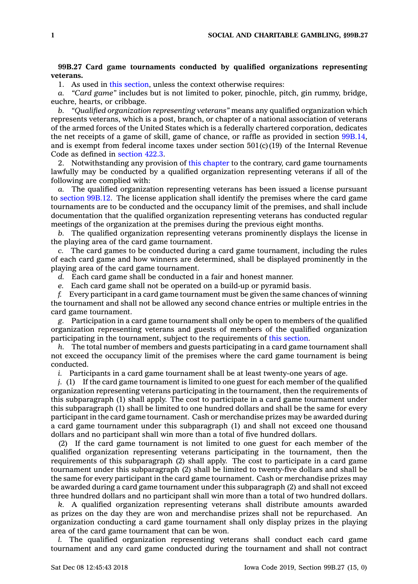## **99B.27 Card game tournaments conducted by qualified organizations representing veterans.**

1. As used in this [section](https://www.legis.iowa.gov/docs/code/99B.27.pdf), unless the context otherwise requires:

*a. "Card game"* includes but is not limited to poker, pinochle, pitch, gin rummy, bridge, euchre, hearts, or cribbage.

*b. "Qualified organization representing veterans"* means any qualified organization which represents veterans, which is <sup>a</sup> post, branch, or chapter of <sup>a</sup> national association of veterans of the armed forces of the United States which is <sup>a</sup> federally chartered corporation, dedicates the net receipts of <sup>a</sup> game of skill, game of chance, or raffle as provided in section [99B.14](https://www.legis.iowa.gov/docs/code/99B.14.pdf), and is exempt from federal income taxes under section  $501(c)(19)$  of the Internal Revenue Code as defined in [section](https://www.legis.iowa.gov/docs/code/422.3.pdf) 422.3.

2. Notwithstanding any provision of this [chapter](https://www.legis.iowa.gov/docs/code//99B.pdf) to the contrary, card game tournaments lawfully may be conducted by <sup>a</sup> qualified organization representing veterans if all of the following are complied with:

*a.* The qualified organization representing veterans has been issued <sup>a</sup> license pursuant to [section](https://www.legis.iowa.gov/docs/code/99B.12.pdf) 99B.12. The license application shall identify the premises where the card game tournaments are to be conducted and the occupancy limit of the premises, and shall include documentation that the qualified organization representing veterans has conducted regular meetings of the organization at the premises during the previous eight months.

*b.* The qualified organization representing veterans prominently displays the license in the playing area of the card game tournament.

*c.* The card games to be conducted during <sup>a</sup> card game tournament, including the rules of each card game and how winners are determined, shall be displayed prominently in the playing area of the card game tournament.

*d.* Each card game shall be conducted in <sup>a</sup> fair and honest manner.

*e.* Each card game shall not be operated on <sup>a</sup> build-up or pyramid basis.

*f.* Every participant in <sup>a</sup> card game tournament must be given the same chances of winning the tournament and shall not be allowed any second chance entries or multiple entries in the card game tournament.

*g.* Participation in <sup>a</sup> card game tournament shall only be open to members of the qualified organization representing veterans and guests of members of the qualified organization participating in the tournament, subject to the requirements of this [section](https://www.legis.iowa.gov/docs/code/99B.27.pdf).

*h.* The total number of members and guests participating in <sup>a</sup> card game tournament shall not exceed the occupancy limit of the premises where the card game tournament is being conducted.

*i.* Participants in <sup>a</sup> card game tournament shall be at least twenty-one years of age.

*j.* (1) If the card game tournament is limited to one guest for each member of the qualified organization representing veterans participating in the tournament, then the requirements of this subparagraph (1) shall apply. The cost to participate in <sup>a</sup> card game tournament under this subparagraph (1) shall be limited to one hundred dollars and shall be the same for every participant in the card game tournament. Cash or merchandise prizes may be awarded during <sup>a</sup> card game tournament under this subparagraph (1) and shall not exceed one thousand dollars and no participant shall win more than <sup>a</sup> total of five hundred dollars.

(2) If the card game tournament is not limited to one guest for each member of the qualified organization representing veterans participating in the tournament, then the requirements of this subparagraph (2) shall apply. The cost to participate in <sup>a</sup> card game tournament under this subparagraph (2) shall be limited to twenty-five dollars and shall be the same for every participant in the card game tournament. Cash or merchandise prizes may be awarded during <sup>a</sup> card game tournament under this subparagraph (2) and shall not exceed three hundred dollars and no participant shall win more than <sup>a</sup> total of two hundred dollars.

*k.* A qualified organization representing veterans shall distribute amounts awarded as prizes on the day they are won and merchandise prizes shall not be repurchased. An organization conducting <sup>a</sup> card game tournament shall only display prizes in the playing area of the card game tournament that can be won.

*l.* The qualified organization representing veterans shall conduct each card game tournament and any card game conducted during the tournament and shall not contract